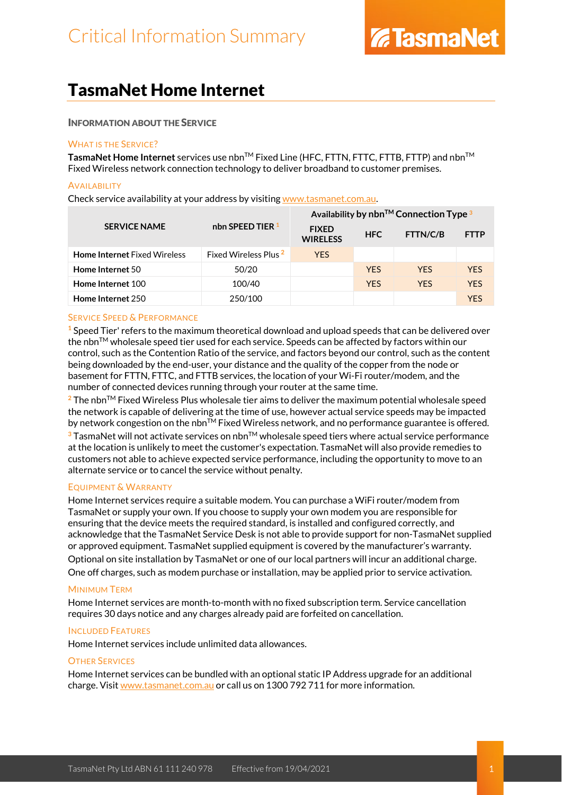# TasmaNet Home Internet

## INFORMATION ABOUT THE SERVICE

## WHAT IS THE SERVICE?

TasmaNet Home Internet services use nbn<sup>™</sup> Fixed Line (HFC, FTTN, FTTC, FTTB, FTTP) and nbn<sup>™</sup> Fixed Wireless network connection technology to deliver broadband to customer premises.

#### **AVAILABILITY**

Check service availability at your address by visiting [www.tasmanet.com.au.](https://www.tasmanet.com.au/)

|                                     |                                  | Availability by $nbn^{TM}$ Connection Type $3$ |            |            |             |
|-------------------------------------|----------------------------------|------------------------------------------------|------------|------------|-------------|
| <b>SERVICE NAME</b>                 | nbn SPEED TIER $1$               | <b>FIXED</b><br><b>WIRELESS</b>                | <b>HFC</b> | FTTN/C/B   | <b>FTTP</b> |
| <b>Home Internet Fixed Wireless</b> | Fixed Wireless Plus <sup>2</sup> | <b>YES</b>                                     |            |            |             |
| Home Internet 50                    | 50/20                            |                                                | <b>YFS</b> | <b>YFS</b> | <b>YES</b>  |
| Home Internet 100                   | 100/40                           |                                                | <b>YES</b> | <b>YFS</b> | <b>YES</b>  |
| Home Internet 250                   | 250/100                          |                                                |            |            | <b>YFS</b>  |

## SERVICE SPEED & PERFORMANCE

**<sup>1</sup>** Speed Tier' refers to the maximum theoretical download and upload speeds that can be delivered over the nbn $\mathbb{M}$  wholesale speed tier used for each service. Speeds can be affected by factors within our control, such as the Contention Ratio of the service, and factors beyond our control, such as the content being downloaded by the end-user, your distance and the quality of the copper from the node or basement for FTTN, FTTC, and FTTB services, the location of your Wi-Fi router/modem, and the number of connected devices running through your router at the same time.

**<sup>2</sup>** The nbnTM Fixed Wireless Plus wholesale tier aims to deliver the maximum potential wholesale speed the network is capable of delivering at the time of use, however actual service speeds may be impacted by network congestion on the nbn<sup>TM</sup> Fixed Wireless network, and no performance guarantee is offered. **<sup>3</sup>** TasmaNet will not activate services on nbnTM wholesale speed tiers where actual service performance at the location is unlikely to meet the customer's expectation. TasmaNet will also provide remedies to customers not able to achieve expected service performance, including the opportunity to move to an alternate service or to cancel the service without penalty.

## EQUIPMENT & WARRANTY

Home Internet services require a suitable modem. You can purchase a WiFi router/modem from TasmaNet or supply your own. If you choose to supply your own modem you are responsible for ensuring that the device meets the required standard, is installed and configured correctly, and acknowledge that the TasmaNet Service Desk is not able to provide support for non-TasmaNet supplied or approved equipment. TasmaNet supplied equipment is covered by the manufacturer's warranty. Optional on site installation by TasmaNet or one of our local partners will incur an additional charge. One off charges, such as modem purchase or installation, may be applied prior to service activation.

## MINIMUM TERM

Home Internet services are month-to-month with no fixed subscription term. Service cancellation requires 30 days notice and any charges already paid are forfeited on cancellation.

## INCLUDED FEATURES

Home Internet services include unlimited data allowances.

## OTHER SERVICES

Home Internet services can be bundled with an optional static IP Address upgrade for an additional charge. Visi[t www.tasmanet.com.au](http://www.tasmanet.com.au/) or call us on 1300 792 711 for more information.